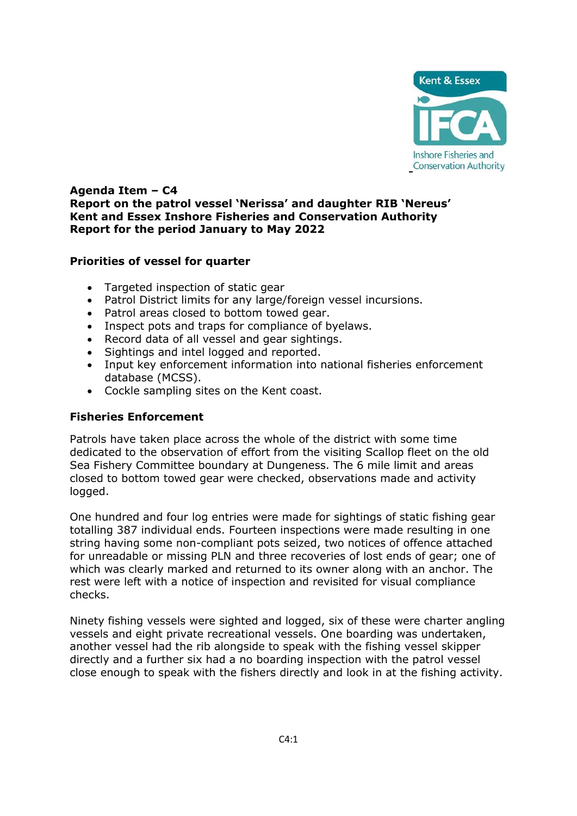

# **Agenda Item – C4 Report on the patrol vessel 'Nerissa' and daughter RIB 'Nereus' Kent and Essex Inshore Fisheries and Conservation Authority Report for the period January to May 2022**

# **Priorities of vessel for quarter**

- Targeted inspection of static gear
- Patrol District limits for any large/foreign vessel incursions.
- Patrol areas closed to bottom towed gear.
- Inspect pots and traps for compliance of byelaws.
- Record data of all vessel and gear sightings.
- Sightings and intel logged and reported.
- Input key enforcement information into national fisheries enforcement database (MCSS).
- Cockle sampling sites on the Kent coast.

## **Fisheries Enforcement**

Patrols have taken place across the whole of the district with some time dedicated to the observation of effort from the visiting Scallop fleet on the old Sea Fishery Committee boundary at Dungeness. The 6 mile limit and areas closed to bottom towed gear were checked, observations made and activity logged.

One hundred and four log entries were made for sightings of static fishing gear totalling 387 individual ends. Fourteen inspections were made resulting in one string having some non-compliant pots seized, two notices of offence attached for unreadable or missing PLN and three recoveries of lost ends of gear; one of which was clearly marked and returned to its owner along with an anchor. The rest were left with a notice of inspection and revisited for visual compliance checks.

Ninety fishing vessels were sighted and logged, six of these were charter angling vessels and eight private recreational vessels. One boarding was undertaken, another vessel had the rib alongside to speak with the fishing vessel skipper directly and a further six had a no boarding inspection with the patrol vessel close enough to speak with the fishers directly and look in at the fishing activity.